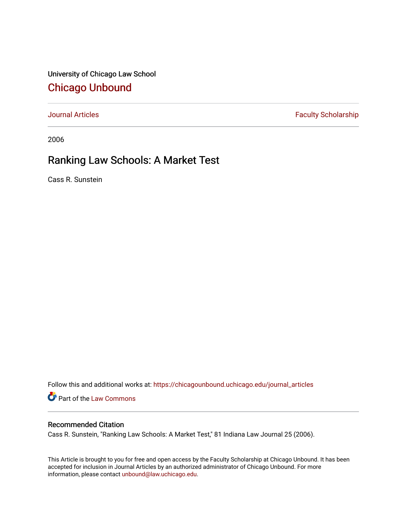University of Chicago Law School [Chicago Unbound](https://chicagounbound.uchicago.edu/)

[Journal Articles](https://chicagounbound.uchicago.edu/journal_articles) **Faculty Scholarship Faculty Scholarship** 

2006

# Ranking Law Schools: A Market Test

Cass R. Sunstein

Follow this and additional works at: [https://chicagounbound.uchicago.edu/journal\\_articles](https://chicagounbound.uchicago.edu/journal_articles?utm_source=chicagounbound.uchicago.edu%2Fjournal_articles%2F8530&utm_medium=PDF&utm_campaign=PDFCoverPages) 

Part of the [Law Commons](http://network.bepress.com/hgg/discipline/578?utm_source=chicagounbound.uchicago.edu%2Fjournal_articles%2F8530&utm_medium=PDF&utm_campaign=PDFCoverPages)

# Recommended Citation

Cass R. Sunstein, "Ranking Law Schools: A Market Test," 81 Indiana Law Journal 25 (2006).

This Article is brought to you for free and open access by the Faculty Scholarship at Chicago Unbound. It has been accepted for inclusion in Journal Articles by an authorized administrator of Chicago Unbound. For more information, please contact [unbound@law.uchicago.edu](mailto:unbound@law.uchicago.edu).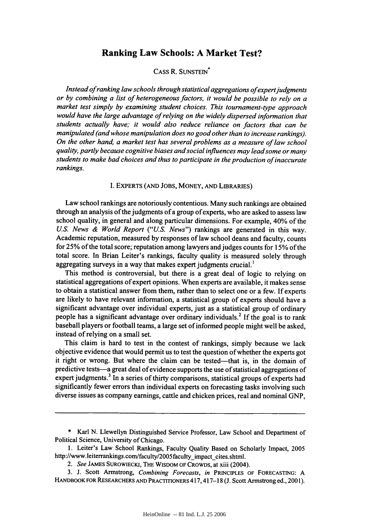# **Ranking Law Schools: A Market Test?**

## CASS R. SUNSTEIN<sup>\*</sup>

*Instead of ranking law schools through statistical aggregations ofexpertjudgments or by combining a list of heterogeneous factors, it would be possible to rely on a market test simply by examining student choices. This tournament-type approach would have the large advantage of relying on the widely dispersed information that students actually have; it would also reduce reliance on factors that can be manipulated (and whose manipulation does no good other than to increase rankings). On the other hand, a market test has several problems as a measure of law school quality, partly because cognitive biases andsocial influences may lead some or many students to make bad choices and thus to participate in the production of inaccurate rankings.*

I. EXPERTS (AND JOBS, MONEY, AND LIBRARIES)

Law school rankings are notoriously contentious. Many such rankings are obtained through an analysis of the judgments of a group of experts, who are asked to assess law school quality, in general and along particular dimensions. For example, 40% of the *US. News & World Report ("US. News")* rankings are generated in this way. Academic reputation, measured by responses of law school deans and faculty, counts for 25% of the total score; reputation among lawyers and judges counts for **15%** of the total score. In Brian Leiter's rankings, faculty quality is measured solely through aggregating surveys in a way that makes expert judgments crucial.'

This method is controversial, but there is a great deal of logic to relying on statistical aggregations of expert opinions. When experts are available, it makes sense to obtain a statistical answer from them, rather than to select one or a few. If experts are likely to have relevant information, a statistical group of experts should have a significant advantage over individual experts, just as a statistical group of ordinary people has a significant advantage over ordinary individuals.<sup>2</sup> If the goal is to rank baseball players or football teams, a large set of informed people might well be asked, instead of relying on a small set.

This claim is hard to test in the contest of rankings, simply because we lack objective evidence that would permit us to test the question of whether the experts got it right or wrong. But where the claim can be tested-that is, in the domain of predictive tests-a great deal of evidence supports the use of statistical aggregations of expert judgments.<sup>3</sup> In a series of thirty comparisons, statistical groups of experts had significantly fewer errors than individual experts on forecasting tasks involving such diverse issues as company earnings, cattle and chicken prices, real and nominal GNP,

<sup>\*</sup> Karl N. Llewellyn Distinguished Service Professor, Law School and Department of Political Science, University of Chicago.

<sup>1.</sup> Leiter's Law School Rankings, Faculty Quality Based on Scholarly Impact, 2005 http://www.leiterrankings.com/faculty/2005faculty\_impact\_cites.shtml.

*<sup>2.</sup> See* JAMES SUROWIECKI, THE WISDOM OF CRowDs, at xiii (2004).

<sup>3.</sup> J. Scott Armstrong, *Combining Forecasts, in* PRINCIPLES OF FORECASTING: A HANDBOOK FOR RESEARCHERS AND PRACTITIONERS 417, 417-18 (J. Scott Armstrong ed., 2001).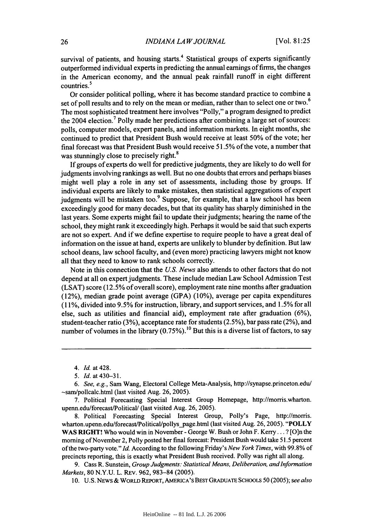survival of patients, and housing starts.<sup>4</sup> Statistical groups of experts significantly outperformed individual experts in predicting the annual earnings of firms, the changes in the American economy, and the annual peak rainfall runoff in eight different  $\frac{100 \text{ m}}{250 \text{ m}}$ 

Or consider political polling, where it has become standard practice to combine a set of poll results and to rely on the mean or median, rather than to select one or two.<sup>6</sup> The most sophisticated treatment here involves "Polly," a program designed to predict the 2004 election.<sup>7</sup> Polly made her predictions after combining a large set of sources: polls, computer models, expert panels, and information markets. In eight months, she continued to predict that President Bush would receive at least 50% of the vote; her final forecast was that President Bush would receive 51.5% of the vote, a number that was stunningly close to precisely right.<sup>8</sup>

If groups of experts do well for predictive judgments, they are likely to do well for judgments involving rankings as well. But no one doubts that errors and perhaps biases might well play a role in any set of assessments, including those by groups. If individual experts are likely to make mistakes, then statistical aggregations of expert judgments will be mistaken too. $9$  Suppose, for example, that a law school has been exceedingly good for many decades, but that its quality has sharply diminished in the last years. Some experts might fail to update their judgments; hearing the name of the school, they might rank it exceedingly high. Perhaps it would be said that such experts are not so expert. And if we define expertise to require people to have a great deal of information on the issue at hand, experts are unlikely to blunder by definition. But law school deans, law school faculty, and (even more) practicing lawyers might not know all that they need to know to rank schools correctly.

Note in this connection that the *U.S. News* also attends to other factors that do not depend at all on expert judgments. These include median Law School Admission Test (LSAT) score (12.5% of overall score), employment rate nine months after graduation (12%), median grade point average (GPA) (10%), average per capita expenditures (11%, divided into 9.5% for instruction, library, and support services, and 1.5% for all else, such as utilities and financial aid), employment rate after graduation (6%), student-teacher ratio (3%), acceptance rate for students (2.5%), bar pass rate (2%), and number of volumes in the library  $(0.75\%)$ .<sup>10</sup> But this is a diverse list of factors, to say

8. Political Forecasting Special Interest Group, Polly's Page, http://morris. wharton.upenn.edu/forecast/Political/pollys\_page.html (last visited Aug. 26, 2005). "POLLY WAS RIGHT! Who would win in November - George W. Bush or John F. Kerry... ? [O]n the morning of November 2, Polly posted her final forecast: President Bush would take 51.5 percent of the two-party vote." *Id.* According to the following Friday's *New York Times,* with 99.8% of precincts reporting, this is exactly what President Bush received. Polly was right all along.

9. Cass R. Sunstein, *Group Judgments: Statistical Means, Deliberation, and Information Markets,* 80 N.Y.U. L. REv. 962, 983-84 (2005).

10. U.S. NEWS & WORLD REPORT, AMERICA'S BEST GRADUATE ScHooLs 50 (2005); *see also*

<sup>4.</sup> *Id.* at 428.

<sup>5.</sup> *Id.* at 430-31.

<sup>6.</sup> See, e.g., Sam Wang, Electoral College Meta-Analysis, http://synapse.princeton.edu/ -sam/pollcalc.html (last visited Aug. 26, 2005).

<sup>7.</sup> Political Forecasting Special Interest Group Homepage, http://morris.wharton. upenn.edu/forecast/Political/ (last visited Aug. 26, 2005).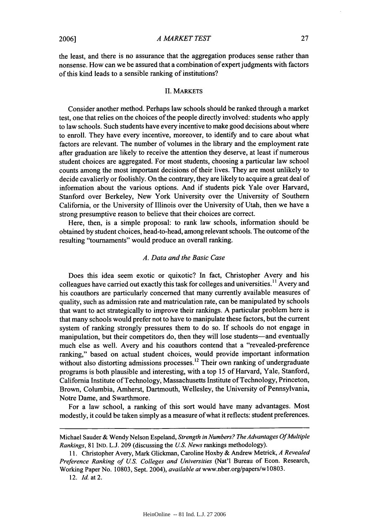*A MARKET TEST*

the least, and there is no assurance that the aggregation produces sense rather than nonsense. How can we be assured that a combination of expert judgments with factors of this kind leads to a sensible ranking of institutions?

#### II. MARKETS

Consider another method. Perhaps law schools should be ranked through a market test, one that relies on the choices of the people directly involved: students who apply to law schools. Such students have every incentive to make good decisions about where to enroll. They have every incentive, moreover, to identify and to care about what factors are relevant. The number of volumes in the library and the employment rate after graduation are likely to receive the attention they deserve, at least if numerous student choices are aggregated. For most students, choosing a particular law school counts among the most important decisions of their lives. They are most unlikely to decide cavalierly or foolishly. On the contrary, they are likely to acquire a great deal of information about the various options. And if students pick Yale over Harvard, Stanford over Berkeley, New York University over the University of Southern California, or the University of Illinois over the University of Utah, then we have a strong presumptive reason to believe that their choices are correct.

Here, then, is a simple proposal: to rank law schools, information should be obtained by student choices, head-to-head, among relevant schools. The outcome of the resulting "tournaments" would produce an overall ranking.

#### *A. Data and the Basic Case*

Does this idea seem exotic or quixotic? In fact, Christopher Avery and his colleagues have carried out exactly this task for colleges and universities.<sup>11</sup> Avery and his coauthors are particularly concerned that many currently available measures of quality, such as admission rate and matriculation rate, can be manipulated by schools that want to act strategically to improve their rankings. A particular problem here is that many schools would prefer not to have to manipulate these factors, but the current system of ranking strongly pressures them to do so. If schools do not engage in manipulation, but their competitors do, then they will lose students—and eventually much else as well. Avery and his coauthors contend that a "revealed-preference ranking," based on actual student choices, would provide important information without also distorting admissions processes.<sup>12</sup> Their own ranking of undergraduate programs is both plausible and interesting, with a top 15 of Harvard, Yale. Stanford, California Institute of Technology, Massachusetts Institute of Technology, Princeton, Brown, Columbia, Amherst, Dartmouth, Wellesley, the University of Pennsylvania, Notre Dame, and Swarthmore.

For a law school, a ranking of this sort would have many advantages. Most modestly, it could be taken simply as a measure of what it reflects: student preferences.

12. *Id.* at 2.

Michael Sauder & Wendy Nelson Espeland, *Strength in Numbers? The Advantages Of Multiple Rankings,* 81 IND. L.J. 209 (discussing the *U.S. News* rankings methodology).

<sup>11.</sup> Christopher Avery, Mark Glickman, Caroline Hoxby & Andrew Metrick, *A Revealed Preference Ranking of U.S. Colleges and Universities* (Nat'l Bureau of Econ. Research, Working Paper No. 10803, Sept. 2004), *available at* www.nber.org/papers/wl0803.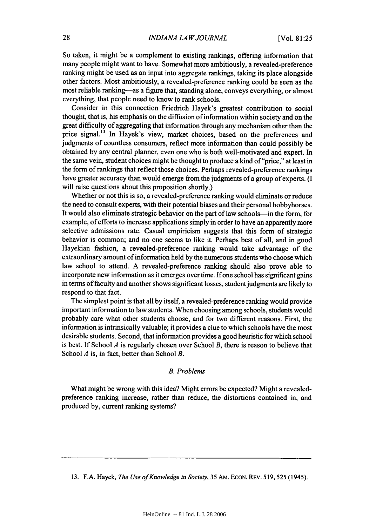So taken, it might be a complement to existing rankings, offering information that many people might want to have. Somewhat more ambitiously, a revealed-preference ranking might be used as an input into aggregate rankings, taking its place alongside other factors. Most ambitiously, a revealed-preference ranking could be seen as the most reliable ranking-as a figure that, standing alone, conveys everything, or almost everything, that people need to know to rank schools.

Consider in this connection Friedrich Hayek's greatest contribution to social thought, that is, his emphasis on the diffusion of information within society and on the great difficulty of aggregating that information through any mechanism other than the price signal.<sup>13</sup> In Hayek's view, market choices, based on the preferences and judgments of countless consumers, reflect more information than could possibly be obtained by any central planner, even one who is both well-motivated and expert. In the same vein, student choices might be thought to produce a kind of "price," at least in the form of rankings that reflect those choices. Perhaps revealed-preference rankings have greater accuracy than would emerge from the judgments of a group of experts. (I will raise questions about this proposition shortly.)

Whether or not this is so, a revealed-preference ranking would eliminate or reduce the need to consult experts, with their potential biases and their personal hobbyhorses. It would also eliminate strategic behavior on the part of law schools-in the form, for example, of efforts to increase applications simply in order to have an apparently more selective admissions rate. Casual empiricism suggests that this form of strategic behavior is common; and no one seems to like it. Perhaps best of all, and in good Hayekian fashion, a revealed-preference ranking would take advantage of the extraordinary amount of information held by the numerous students who choose which law school to attend. A revealed-preference ranking should also prove able to incorporate new information as it emerges over time. If one school has significant gains in terms of faculty and another shows significant losses, student judgments are likely to respond to that fact.

The simplest point is that all by itself, a revealed-preference ranking would provide important information to law students. When choosing among schools, students would probably care what other students choose, and for two different reasons. First, the information is intrinsically valuable; it provides a clue to which schools have the most desirable students. Second, that information provides a good heuristic for which school is best. If School 4 is regularly chosen over School *B,* there is reason to believe that School *A* is, in fact, better than School *B.*

#### *B. Problems*

What might be wrong with this idea? Might errors be expected? Might a revealedpreference ranking increase, rather than reduce, the distortions contained in, and produced by, current ranking systems?

<sup>13.</sup> F.A. Hayek, *The Use of Knowledge in Society,* 35 AM. ECON. REv. 519,525 (1945).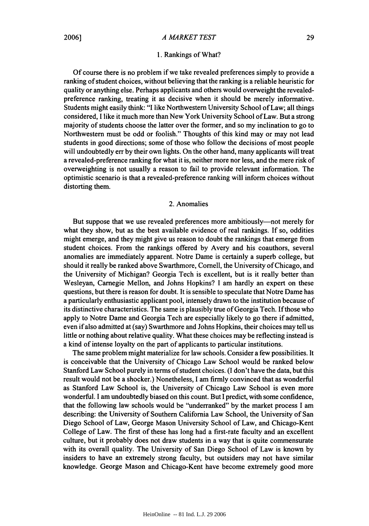#### 1. Rankings of What?

Of course there is no problem if we take revealed preferences simply to provide a ranking of student choices, without believing that the ranking is a reliable heuristic for quality or anything else. Perhaps applicants and others would overweight the revealedpreference ranking, treating it as decisive when it should be merely informative. Students might easily think: "I like Northwestern University School of Law; all things considered, I like it much more than New York University School of Law. But a strong majority of students choose the latter over the former, and so my inclination to go to Northwestern must be odd or foolish." Thoughts of this kind may or may not lead students in good directions; some of those who follow the decisions of most people will undoubtedly err by their own lights. On the other hand, many applicants will treat a revealed-preference ranking for what it is, neither more nor less, and the mere risk of overweighting is not usually a reason to fail to provide relevant information. The optimistic scenario is that a revealed-preference ranking will inform choices without distorting them.

## 2. Anomalies

But suppose that we use revealed preferences more ambitiously—not merely for what they show, but as the best available evidence of real rankings. If so, oddities might emerge, and they might give us reason to doubt the rankings that emerge from student choices. From the rankings offered by Avery and his coauthors, several anomalies are immediately apparent. Notre Dame is certainly a superb college, but should it really be ranked above Swarthmore, Cornell, the University of Chicago, and the University of Michigan? Georgia Tech is excellent, but is it really better than Wesleyan, Carnegie Mellon, and Johns Hopkins? I am hardly an expert on these questions, but there is reason for doubt. It is sensible to speculate that Notre Dame has a particularly enthusiastic applicant pool, intensely drawn to the institution because of its distinctive characteristics. The same is plausibly true of Georgia Tech. If those who apply to Notre Dame and Georgia Tech are especially likely to go there if admitted, even if also admitted at (say) Swarthmore and Johns Hopkins, their choices may tell us little or nothing about relative quality. What these choices may be reflecting instead is a kind of intense loyalty on the part of applicants to particular institutions.

The same problem might materialize for law schools. Consider a few possibilities. It is conceivable that the University of Chicago Law School would be ranked below Stanford Law School purely in terms of student choices. (I don't have the data, but this result would not be a shocker.) Nonetheless, I am firmly convinced that as wonderful as Stanford Law School is, the University of Chicago Law School is even more wonderful. I am undoubtedly biased on this count. But I predict, with some confidence, that the following law schools would be "underranked" by the market process I am describing: the University of Southern California Law School, the University of San Diego School of Law, George Mason University School of Law, and Chicago-Kent College of Law. The first of these has long had a first-rate faculty and an excellent culture, but it probably does not draw students in a way that is quite commensurate with its overall quality. The University of San Diego School of Law is known by insiders to have an extremely strong faculty, but outsiders may not have similar knowledge. George Mason and Chicago-Kent have become extremely good more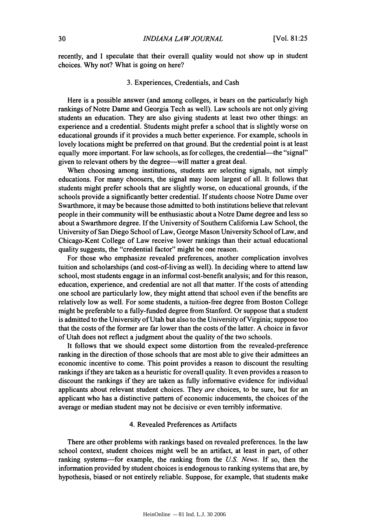recently, and **I** speculate that their overall quality would not show up in student choices. **Why** not? What is going on here?

#### **3.** Experiences, Credentials, and Cash

Here is a possible answer (and among colleges, it bears on the particularly high rankings of Notre Dame and Georgia Tech as well). Law schools are not only giving students an education. They are also giving students at least two other things: an experience and a credential. Students might prefer a school that is slightly worse on educational grounds if it provides a much better experience. For example, schools in lovely locations might be preferred on that ground. But the credential point is at least equally more important. For law schools, as for colleges, the credential-the "signal" given to relevant others by the degree-will matter a great deal.

When choosing among institutions, students are selecting signals, not simply educations. For many choosers, the signal may loom largest of all. It follows that students might prefer schools that are slightly worse, on educational grounds, if the schools provide a significantly better credential. **If** students choose Notre Dame over Swarthmore, it may be because those admitted to both institutions believe that relevant people in their community will be enthusiastic about a Notre Dame degree and less so about a Swarthmore degree. **If** the University of Southern California Law School, the University of San Diego School of Law, George Mason University School of Law, and Chicago-Kent College of Law receive lower rankings than their actual educational quality suggests, the "credential factor" might be one reason.

For those who emphasize revealed preferences, another complication involves tuition and scholarships (and cost-of-living as well). In deciding where to attend law school, most students engage in an informal cost-benefit analysis; and for this reason, education, experience, and credential are not all that matter. **If** the costs of attending one school are particularly low, they might attend that school even if the benefits are relatively low as well. For some students, a tuition-free degree from Boston College might be preferable to a fully-funded degree from Stanford. Or suppose that a student is admitted to the University of Utah but also to the University of Virginia; suppose too that the costs of the former are far lower than the costs of the latter. **A** choice in favor of Utah does not reflect a judgment about the quality of the two schools.

It follows that we should expect some distortion from the revealed-preference ranking in the direction of those schools that are most able to give their admittees an economic incentive to come. This point provides a reason to discount the resulting rankings if they are taken as a heuristic for overall quality. It even provides a reason to discount the rankings if they are taken as fully informative evidence for individual applicants about relevant student choices. They are choices, to be sure, but for an applicant who has a distinctive pattern of economic inducements, the choices of the average or median student may not be decisive or even terribly informative.

#### 4. Revealed Preferences as Artifacts

There are other problems with rankings based on revealed preferences. In the law school context, student choices might well be an artifact, at least in part, of other ranking systems-for example, the ranking from the *US. News.* **If** so, then the information provided **by** student choices is endogenous to ranking systems that are, **by** hypothesis, biased or not entirely reliable. Suppose, for example, that students make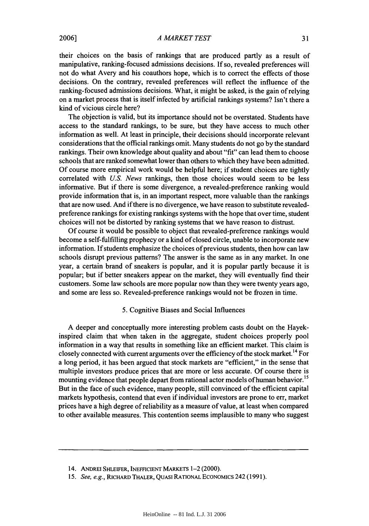*A MARKET TEST*

their choices on the basis of rankings that are produced partly as a result of manipulative, ranking-focused admissions decisions. If so, revealed preferences will not do what Avery and his coauthors hope, which is to correct the effects of those decisions. On the contrary, revealed preferences will reflect the influence of the ranking-focused admissions decisions. What, it might be asked, is the gain of relying on a market process that is itself infected by artificial rankings systems? Isn't there a kind of vicious circle here?

The objection is valid, but its importance should not be overstated. Students have access to the standard rankings, to be sure, but they have access to much other information as well. At least in principle, their decisions should incorporate relevant considerations that the official rankings omit. Many students do not go by the standard rankings. Their own knowledge about quality and about "fit" can lead them to choose schools that are ranked somewhat lower than others to which they have been admitted. Of course more empirical work would be helpful here; if student choices are tightly correlated with *U.S. News* rankings, then those choices would seem to be less informative. But if there is some divergence, a revealed-preference ranking would provide information that is, in an important respect, more valuable than the rankings that are now used. And if there is no divergence, we have reason to substitute revealedpreference rankings for existing rankings systems with the hope that over time, student choices will not be distorted **by** ranking systems that we have reason to distrust.

Of course it would be possible to object that revealed-preference rankings would become a self-fulfilling prophecy or a kind of closed circle, unable to incorporate new information. **If** students emphasize the choices of previous students, then how can law schools disrupt previous patterns? The answer is the same as in any market. In one year, a certain brand of sneakers is popular, and it is popular partly because it is popular; but if better sneakers appear on the market, they will eventually find their customers. Some law schools are more popular now than they were twenty years ago, and some are less so. Revealed-preference rankings would not be frozen in time.

#### 5. Cognitive Biases and Social Influences

A deeper and conceptually more interesting problem casts doubt on the Hayekinspired claim that when taken in the aggregate, student choices properly pool information in a way that results in something like an efficient market. This claim is closely connected with current arguments over the efficiency of the stock market.<sup>14</sup> For a long period, it has been argued that stock markets are "efficient," in the sense that multiple investors produce prices that are more or less accurate. Of course there is mounting evidence that people depart from rational actor models of human behavior.<sup>15</sup> But in the face of such evidence, many people, still convinced of the efficient capital markets hypothesis, contend that even if individual investors are prone to err, market prices have a high degree of reliability as a measure of value, at least when compared to other available measures. This contention seems implausible to many who suggest

<sup>14.</sup> ANDREI SHLEIFER, **INEFFICIENT** MARKETS 1-2 (2000).

<sup>15.</sup> See, e.g., RICHARD THALER, QUASI RATIONAL ECONOMICS 242 (1991).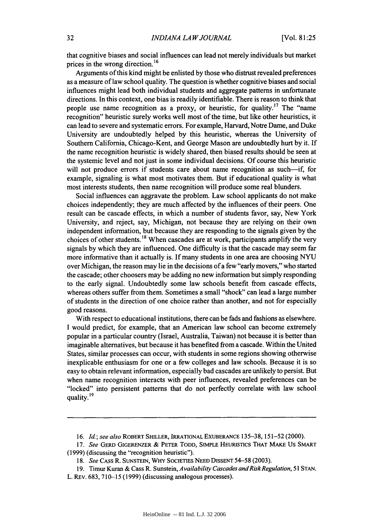that cognitive biases and social influences can lead not merely individuals but market prices in the wrong direction.<sup>16</sup>

Arguments of this kind might be enlisted by those who distrust revealed preferences as a measure of law school quality. The question is whether cognitive biases and social influences might lead both individual students and aggregate patterns in unfortunate directions. In this context, one bias is readily identifiable. There is reason to think that people use name recognition as a proxy, or heuristic, for quality.<sup>17</sup> The "name" recognition" heuristic surely works well most of the time, but like other heuristics, it can lead to severe and systematic errors. For example, Harvard, Notre Dame, and Duke University are undoubtedly helped by this heuristic, whereas the University of Southern California, Chicago-Kent, and George Mason are undoubtedly hurt by it. If the name recognition heuristic is widely shared, then biased results should be seen at the systemic level and not just in some individual decisions. Of course this heuristic will not produce errors if students care about name recognition as such--if, for example, signaling is what most motivates them. But if educational quality is what most interests students, then name recognition will produce some real blunders.

Social influences can aggravate the problem. Law school applicants do not make choices independently; they are much affected by the influences of their peers. One result can be cascade effects, in which a number of students favor, say, New York University, and reject, say, Michigan, not because they are relying on their own independent information, but because they are responding to the signals given by the choices of other students. **1 <sup>8</sup>**When cascades are at work, participants amplify the very signals by which they are influenced. One difficulty is that the cascade may seem far more informative than it actually is. If many students in one area are choosing NYU over Michigan, the reason may lie in the decisions of a few "early movers," who started the cascade; other choosers may be adding no new information but simply responding to the early signal. Undoubtedly some law schools benefit from cascade effects, whereas others suffer from them. Sometimes a small "shock" can lead a large number of students in the direction of one choice rather than another, and not for especially good reasons.

With respect to educational institutions, there can be fads and fashions as elsewhere. I would predict, for example, that an American law school can become extremely popular in a particular country (Israel, Australia, Taiwan) not because it is better than imaginable alternatives, but because it has benefited from a cascade. Within the United States, similar processes can occur, with students in some regions showing otherwise inexplicable enthusiasm for one or a few colleges and law schools. Because it is so easy to obtain relevant information, especially bad cascades are unlikely to persist. But when name recognition interacts with peer influences, revealed preferences can be "locked" into persistent patterns that do not perfectly correlate with law school quality. **19**

*<sup>16.</sup>* Id.; *see also* ROBERT SHILLER, IRRATIONAL EXUBERANCE 135-38, 151-52 (2000).

*<sup>17.</sup> See* GERD GIGERENZER **&** PETER TODD, SIMPLE HEURISTICS THAT MAKE US SMART (1999) (discussing the "recognition heuristic").

*<sup>18.</sup> See* CASS R. SUNSTEIN, WHY SOCIETIES NEED DISSENT 54-58 (2003).

<sup>19.</sup> Timur Kuran & Cass R. Sunstein, *Availability Cascades and Risk Regulation*, 51 STAN. L. REv. 683, 710-15 (1999) (discussing analogous processes).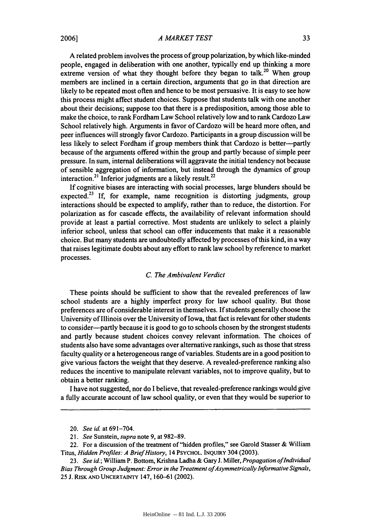#### *A MARKET TEST*

**A** related problem involves the process of group polarization, by which like-minded people, engaged in deliberation with one another, typically end up thinking a more extreme version of what they thought before they began to talk.<sup>20</sup> When group members are inclined in a certain direction, arguments that go in that direction are likely to be repeated most often and hence to be most persuasive. It is easy to see how this process might affect student choices. Suppose that students talk with one another about their decisions; suppose too that there is a predisposition, among those able to make the choice, to rank Fordham Law School relatively low and to rank Cardozo Law School relatively high. Arguments in favor of Cardozo will be heard more often, and peer influences will strongly favor Cardozo. Participants in a group discussion will be less likely to select Fordham if group members think that Cardozo is better-partly because of the arguments offered within the group and partly because of simple peer pressure. In sum, internal deliberations will aggravate the initial tendency not because of sensible aggregation of information, but instead through the dynamics of group interaction.<sup>21</sup> Inferior judgments are a likely result.<sup>22</sup>

If cognitive biases are interacting with social processes, large blunders should be expected.<sup>23</sup> If, for example, name recognition is distorting judgments, group interactions should be expected to amplify, rather than to reduce, the distortion. For polarization as for cascade effects, the availability of relevant information should provide at least a partial corrective. Most students are unlikely to select a plainly inferior school, unless that school can offer inducements that make it a reasonable choice. But many students are undoubtedly affected by processes of this kind, in a way that raises legitimate doubts about any effort to rank law school by reference to market processes.

### *C. The Ambivalent Verdict*

These points should be sufficient to show that the revealed preferences of law school students are a highly imperfect proxy for law school quality. But those preferences are of considerable interest in themselves. If students generally choose the University of Illinois over the University of Iowa, that fact is relevant for other students to consider-partly because it is good to go to schools chosen by the strongest students and partly because student choices convey relevant information. The choices of students also have some advantages over alternative rankings, such as those that stress faculty quality or a heterogeneous range of variables. Students are in a good position to give various factors the weight that they deserve. A revealed-preference ranking also reduces the incentive to manipulate relevant variables, not to improve quality, but to obtain a better ranking.

I have not suggested, nor do I believe, that revealed-preference rankings would give a fully accurate account of law school quality, or even that they would be superior to

<sup>20.</sup> *See* id. at 691-704.

*<sup>21.</sup> See* Sunstein, *supra* note 9, at 982-89.

<sup>22.</sup> For a discussion of the treatment of "hidden profiles," see Garold Stasser & William Titus, *Hidden Profiles: A Brief History,* 14 PSYCHOL. INQUIRY 304 (2003).

<sup>23.</sup> *See id.;* William P. Bottom, Krishna Ladha & Gary J. Miller, *Propagation ofIndividual* Bias Through Group Judgment: Error in the Treatment of Asymmetrically Informative Signals, 25 J. RISK AND UNCERTAINTY 147, 160-61 (2002).